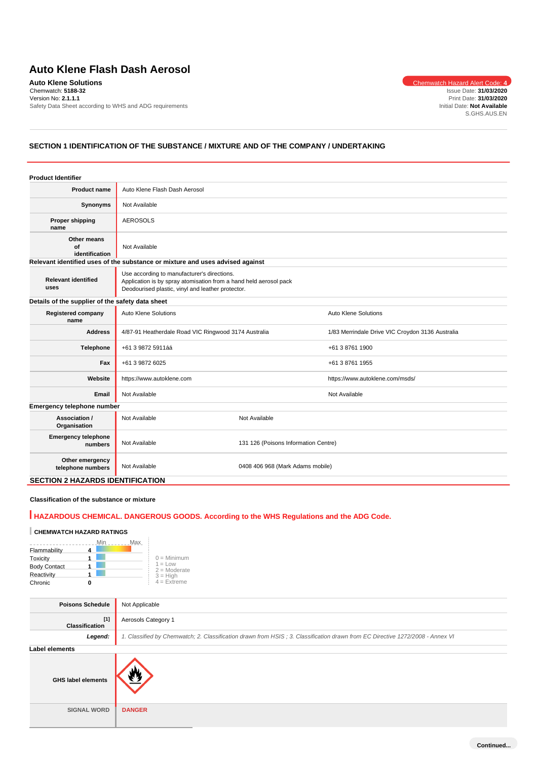# **Auto Klene Flash Dash Aerosol**

**Auto Klene Solutions** Chemwatch Hazard Alert Code: **4** Chemwatch: **5188-32** Version No: **2.1.1.1** Safety Data Sheet according to WHS and ADG requirements

Issue Date: **31/03/2020** Print Date: **31/03/2020** Initial Date: **Not Available** S.GHS.AUS.EN

# **SECTION 1 IDENTIFICATION OF THE SUBSTANCE / MIXTURE AND OF THE COMPANY / UNDERTAKING**

| <b>Product Identifier</b>                        |                                                                                                                                                                       |                                      |                                                  |  |
|--------------------------------------------------|-----------------------------------------------------------------------------------------------------------------------------------------------------------------------|--------------------------------------|--------------------------------------------------|--|
| <b>Product name</b>                              | Auto Klene Flash Dash Aerosol                                                                                                                                         |                                      |                                                  |  |
| Synonyms                                         | Not Available                                                                                                                                                         |                                      |                                                  |  |
| <b>Proper shipping</b><br>name                   | <b>AEROSOLS</b>                                                                                                                                                       |                                      |                                                  |  |
| Other means<br>of<br>identification              | Not Available                                                                                                                                                         |                                      |                                                  |  |
|                                                  | Relevant identified uses of the substance or mixture and uses advised against                                                                                         |                                      |                                                  |  |
| <b>Relevant identified</b><br>uses               | Use according to manufacturer's directions.<br>Application is by spray atomisation from a hand held aerosol pack<br>Deodourised plastic, vinyl and leather protector. |                                      |                                                  |  |
| Details of the supplier of the safety data sheet |                                                                                                                                                                       |                                      |                                                  |  |
| <b>Registered company</b><br>name                | Auto Klene Solutions                                                                                                                                                  |                                      | Auto Klene Solutions                             |  |
| <b>Address</b>                                   | 4/87-91 Heatherdale Road VIC Ringwood 3174 Australia                                                                                                                  |                                      | 1/83 Merrindale Drive VIC Croydon 3136 Australia |  |
| Telephone                                        | +61 3 9872 5911áá                                                                                                                                                     |                                      | +61 3 8761 1900                                  |  |
| Fax                                              | +61 3 9872 6025                                                                                                                                                       |                                      | +61 3 8761 1955                                  |  |
| Website                                          | https://www.autoklene.com                                                                                                                                             |                                      | https://www.autoklene.com/msds/                  |  |
| Email                                            | Not Available                                                                                                                                                         |                                      | Not Available                                    |  |
| Emergency telephone number                       |                                                                                                                                                                       |                                      |                                                  |  |
| Association /<br>Organisation                    | Not Available                                                                                                                                                         | Not Available                        |                                                  |  |
| <b>Emergency telephone</b><br>numbers            | Not Available                                                                                                                                                         | 131 126 (Poisons Information Centre) |                                                  |  |
| Other emergency<br>telephone numbers             | Not Available                                                                                                                                                         | 0408 406 968 (Mark Adams mobile)     |                                                  |  |
| <b>SECTION 2 HAZARDS IDENTIFICATION</b>          |                                                                                                                                                                       |                                      |                                                  |  |

#### **Classification of the substance or mixture**

# **HAZARDOUS CHEMICAL. DANGEROUS GOODS. According to the WHS Regulations and the ADG Code.**

# **CHEMWATCH HAZARD RATINGS**

|                     | Min | Max |                             |
|---------------------|-----|-----|-----------------------------|
| Flammability        |     |     |                             |
| Toxicity            |     |     | $0 =$ Minimum               |
| <b>Body Contact</b> |     |     | $1 = Low$<br>$2 =$ Moderate |
| Reactivity          |     |     | $3 = High$                  |
| Chronic             |     |     | $4 =$ Extreme               |
|                     |     |     |                             |

| <b>Poisons Schedule</b>        | Not Applicable                                                                                                                |  |
|--------------------------------|-------------------------------------------------------------------------------------------------------------------------------|--|
| $[1]$<br><b>Classification</b> | Aerosols Category 1                                                                                                           |  |
| Legend:                        | 1. Classified by Chemwatch; 2. Classification drawn from HSIS; 3. Classification drawn from EC Directive 1272/2008 - Annex VI |  |
| <b>Label elements</b>          |                                                                                                                               |  |
| <b>GHS label elements</b>      |                                                                                                                               |  |
| <b>SIGNAL WORD</b>             | <b>DANGER</b>                                                                                                                 |  |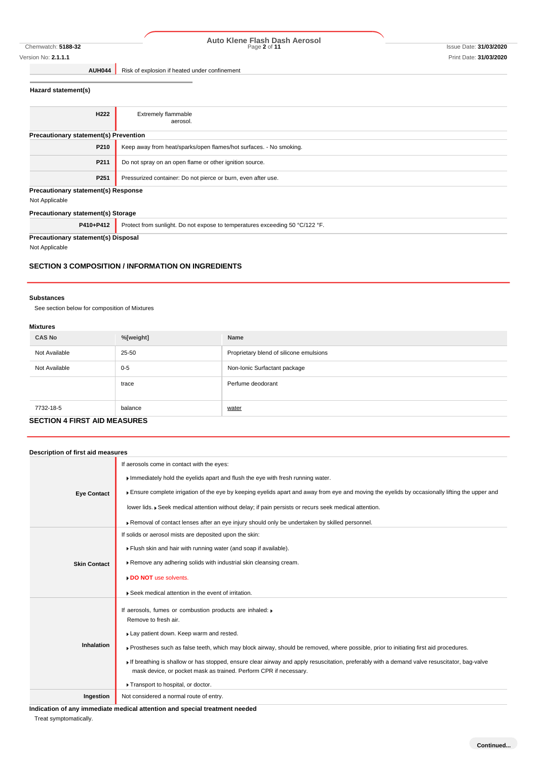# Chemwatch: **5188-32** Page **2** of **11** Issue Date: **31/03/2020 Auto Klene Flash Dash Aerosol**

**AUH044** Risk of explosion if heated under confinement

## **Hazard statement(s)**

| H <sub>222</sub>                             | <b>Extremely flammable</b>                                                   |  |  |
|----------------------------------------------|------------------------------------------------------------------------------|--|--|
|                                              | aerosol.                                                                     |  |  |
|                                              |                                                                              |  |  |
| <b>Precautionary statement(s) Prevention</b> |                                                                              |  |  |
| P210                                         | Keep away from heat/sparks/open flames/hot surfaces. - No smoking.           |  |  |
| P211                                         | Do not spray on an open flame or other ignition source.                      |  |  |
| P <sub>251</sub>                             | Pressurized container: Do not pierce or burn, even after use.                |  |  |
| <b>Precautionary statement(s) Response</b>   |                                                                              |  |  |
| Not Applicable                               |                                                                              |  |  |
| Precautionary statement(s) Storage           |                                                                              |  |  |
| P410+P412                                    | Protect from sunlight. Do not expose to temperatures exceeding 50 °C/122 °F. |  |  |
| <b>Precautionary statement(s) Disposal</b>   |                                                                              |  |  |

Not Applicable

#### **SECTION 3 COMPOSITION / INFORMATION ON INGREDIENTS**

#### **Substances**

See section below for composition of Mixtures

#### **Mixtures**

| <b>CAS No</b> | %[weight] | Name                                    |
|---------------|-----------|-----------------------------------------|
| Not Available | 25-50     | Proprietary blend of silicone emulsions |
| Not Available | $0 - 5$   | Non-Ionic Surfactant package            |
|               | trace     | Perfume deodorant                       |
|               |           |                                         |
| 7732-18-5     | balance   | water                                   |
|               |           |                                         |

# **SECTION 4 FIRST AID MEASURES**

| Description of first aid measures |                                                                                                                                                                                                                  |
|-----------------------------------|------------------------------------------------------------------------------------------------------------------------------------------------------------------------------------------------------------------|
|                                   | If aerosols come in contact with the eyes:                                                                                                                                                                       |
|                                   | Immediately hold the eyelids apart and flush the eye with fresh running water.                                                                                                                                   |
| <b>Eye Contact</b>                | Ensure complete irrigation of the eye by keeping eyelids apart and away from eye and moving the eyelids by occasionally lifting the upper and                                                                    |
|                                   | lower lids. ▶ Seek medical attention without delay; if pain persists or recurs seek medical attention.                                                                                                           |
|                                   | ▶ Removal of contact lenses after an eye injury should only be undertaken by skilled personnel.                                                                                                                  |
|                                   | If solids or aerosol mists are deposited upon the skin:                                                                                                                                                          |
|                                   | Flush skin and hair with running water (and soap if available).                                                                                                                                                  |
| <b>Skin Contact</b>               | ▶ Remove any adhering solids with industrial skin cleansing cream.                                                                                                                                               |
|                                   | DO NOT use solvents.                                                                                                                                                                                             |
|                                   | ▶ Seek medical attention in the event of irritation.                                                                                                                                                             |
|                                   | If aerosols, fumes or combustion products are inhaled:                                                                                                                                                           |
|                                   | Remove to fresh air.                                                                                                                                                                                             |
|                                   | Lay patient down. Keep warm and rested.                                                                                                                                                                          |
| <b>Inhalation</b>                 | ▶ Prostheses such as false teeth, which may block airway, should be removed, where possible, prior to initiating first aid procedures.                                                                           |
|                                   | If breathing is shallow or has stopped, ensure clear airway and apply resuscitation, preferably with a demand valve resuscitator, bag-valve<br>mask device, or pocket mask as trained. Perform CPR if necessary. |
|                                   | Transport to hospital, or doctor.                                                                                                                                                                                |
| Ingestion                         | Not considered a normal route of entry.                                                                                                                                                                          |

**Indication of any immediate medical attention and special treatment needed**

Treat symptomatically.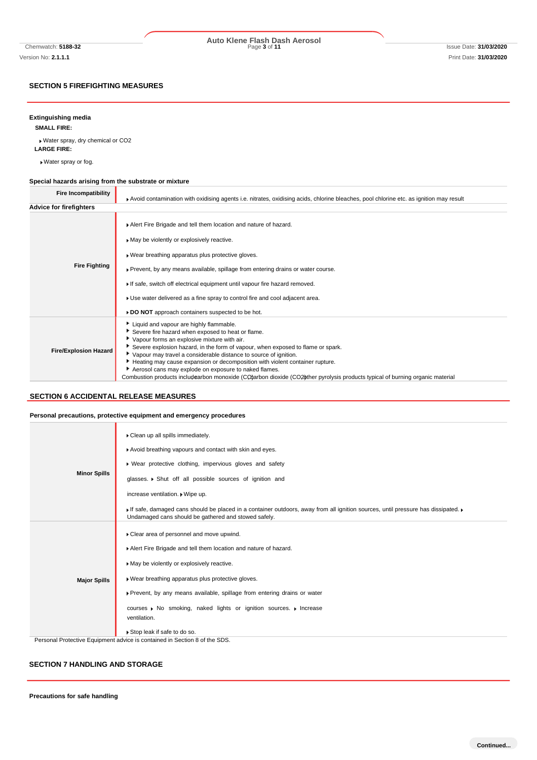# Chemwatch: **5188-32** Page **3** of **11** Issue Date: **31/03/2020 Auto Klene Flash Dash Aerosol**

## **SECTION 5 FIREFIGHTING MEASURES**

### **Extinguishing media**

**SMALL FIRE:**

Water spray, dry chemical or CO2 **LARGE FIRE:**

Water spray or fog.

### **Special hazards arising from the substrate or mixture**

| <b>Fire Incompatibility</b>    | Avoid contamination with oxidising agents i.e. nitrates, oxidising acids, chlorine bleaches, pool chlorine etc. as ignition may result                                                                                                                                                                                                                                                                                                                                                                                                                                       |
|--------------------------------|------------------------------------------------------------------------------------------------------------------------------------------------------------------------------------------------------------------------------------------------------------------------------------------------------------------------------------------------------------------------------------------------------------------------------------------------------------------------------------------------------------------------------------------------------------------------------|
| <b>Advice for firefighters</b> |                                                                                                                                                                                                                                                                                                                                                                                                                                                                                                                                                                              |
| <b>Fire Fighting</b>           | Alert Fire Brigade and tell them location and nature of hazard.<br>May be violently or explosively reactive.<br>▶ Wear breathing apparatus plus protective gloves.<br>▶ Prevent, by any means available, spillage from entering drains or water course.<br>If safe, switch off electrical equipment until vapour fire hazard removed.<br>► Use water delivered as a fine spray to control fire and cool adjacent area.<br>DO NOT approach containers suspected to be hot.                                                                                                    |
| <b>Fire/Explosion Hazard</b>   | Liquid and vapour are highly flammable.<br>Severe fire hazard when exposed to heat or flame.<br>Vapour forms an explosive mixture with air.<br>Severe explosion hazard, in the form of vapour, when exposed to flame or spark.<br>Vapour may travel a considerable distance to source of ignition.<br>Heating may cause expansion or decomposition with violent container rupture.<br>Aerosol cans may explode on exposure to naked flames.<br>Combustion products includearbon monoxide (CO)arbon dioxide (CO2) ther pyrolysis products typical of burning organic material |

## **SECTION 6 ACCIDENTAL RELEASE MEASURES**

#### **Personal precautions, protective equipment and emergency procedures**

| <b>Minor Spills</b> | Clean up all spills immediately.<br>Avoid breathing vapours and contact with skin and eyes.<br>• Wear protective clothing, impervious gloves and safety<br>glasses. • Shut off all possible sources of ignition and<br>increase ventilation. • Wipe up.<br>If safe, damaged cans should be placed in a container outdoors, away from all ignition sources, until pressure has dissipated. I<br>Undamaged cans should be gathered and stowed safely. |
|---------------------|-----------------------------------------------------------------------------------------------------------------------------------------------------------------------------------------------------------------------------------------------------------------------------------------------------------------------------------------------------------------------------------------------------------------------------------------------------|
| <b>Major Spills</b> | Clear area of personnel and move upwind.<br>Alert Fire Brigade and tell them location and nature of hazard.<br>May be violently or explosively reactive.<br>» Wear breathing apparatus plus protective gloves.<br>▶ Prevent, by any means available, spillage from entering drains or water<br>courses ▶ No smoking, naked lights or ignition sources. ▶ Increase<br>ventilation.<br>Stop leak if safe to do so.                                    |
|                     | Personal Protective Equipment advice is contained in Section 8 of the SDS.                                                                                                                                                                                                                                                                                                                                                                          |

#### **SECTION 7 HANDLING AND STORAGE**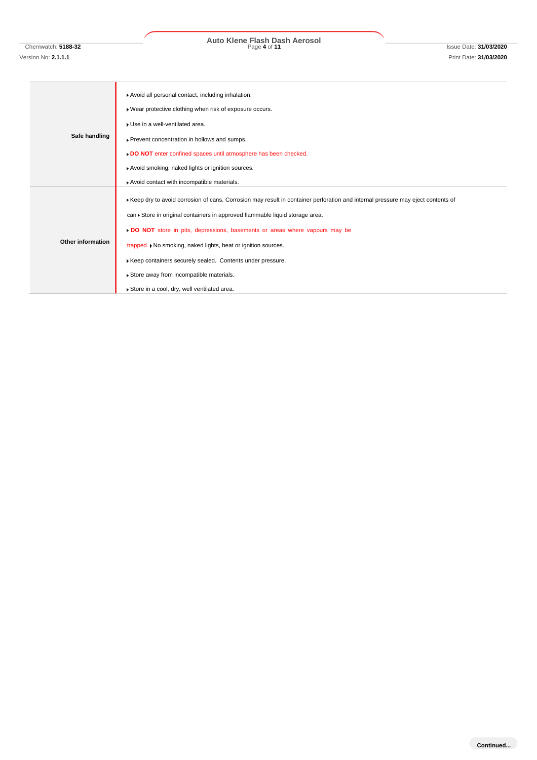# Chemwatch: **5188-32** Page **4** of **11** Issue Date: **31/03/2020 Auto Klene Flash Dash Aerosol**

# **Safe handling** Avoid all personal contact, including inhalation. Wear protective clothing when risk of exposure occurs. Use in a well-ventilated area. Prevent concentration in hollows and sumps. **DO NOT** enter confined spaces until atmosphere has been checked. Avoid smoking, naked lights or ignition sources. Avoid contact with incompatible materials. **Other information** Keep dry to avoid corrosion of cans. Corrosion may result in container perforation and internal pressure may eject contents of can Store in original containers in approved flammable liquid storage area. **DO NOT** store in pits, depressions, basements or areas where vapours may be trapped.  $\blacktriangleright$  No smoking, naked lights, heat or ignition sources. Keep containers securely sealed. Contents under pressure. Store away from incompatible materials. Store in a cool, dry, well ventilated area.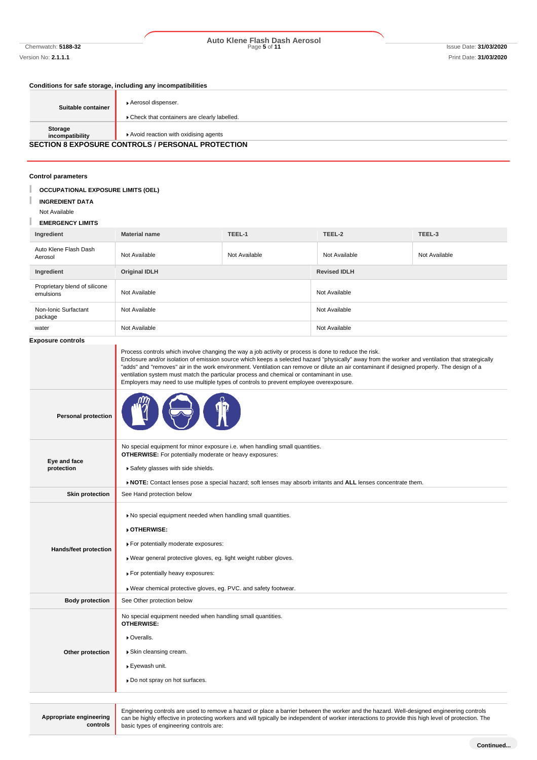# Chemwatch: **5188-32** Page **5** of **11** Issue Date: **31/03/2020 Auto Klene Flash Dash Aerosol**

### **Conditions for safe storage, including any incompatibilities**

| Suitable container         | Aerosol dispenser.<br>Check that containers are clearly labelled. |
|----------------------------|-------------------------------------------------------------------|
| Storage<br>incompatibility | Avoid reaction with oxidising agents                              |
|                            | <b>SECTION 8 EXPOSURE CONTROLS / PERSONAL PROTECTION</b>          |

## **Control parameters**

| CUIIU UI parameters                                                                                                                                                                                                                                                                                                                                                                  |                                                                                                                                                                                                                                                                                                                                                                                                                                                                                                                                                                                                |               |                     |               |
|--------------------------------------------------------------------------------------------------------------------------------------------------------------------------------------------------------------------------------------------------------------------------------------------------------------------------------------------------------------------------------------|------------------------------------------------------------------------------------------------------------------------------------------------------------------------------------------------------------------------------------------------------------------------------------------------------------------------------------------------------------------------------------------------------------------------------------------------------------------------------------------------------------------------------------------------------------------------------------------------|---------------|---------------------|---------------|
| <b>OCCUPATIONAL EXPOSURE LIMITS (OEL)</b><br><b>INGREDIENT DATA</b>                                                                                                                                                                                                                                                                                                                  |                                                                                                                                                                                                                                                                                                                                                                                                                                                                                                                                                                                                |               |                     |               |
| Not Available                                                                                                                                                                                                                                                                                                                                                                        |                                                                                                                                                                                                                                                                                                                                                                                                                                                                                                                                                                                                |               |                     |               |
| <b>EMERGENCY LIMITS</b>                                                                                                                                                                                                                                                                                                                                                              |                                                                                                                                                                                                                                                                                                                                                                                                                                                                                                                                                                                                |               |                     |               |
| Ingredient                                                                                                                                                                                                                                                                                                                                                                           | <b>Material name</b>                                                                                                                                                                                                                                                                                                                                                                                                                                                                                                                                                                           | TEEL-1        | TEEL-2              | TEEL-3        |
| Auto Klene Flash Dash<br>Aerosol                                                                                                                                                                                                                                                                                                                                                     | Not Available                                                                                                                                                                                                                                                                                                                                                                                                                                                                                                                                                                                  | Not Available | Not Available       | Not Available |
| Ingredient                                                                                                                                                                                                                                                                                                                                                                           | <b>Original IDLH</b>                                                                                                                                                                                                                                                                                                                                                                                                                                                                                                                                                                           |               | <b>Revised IDLH</b> |               |
| Proprietary blend of silicone<br>emulsions                                                                                                                                                                                                                                                                                                                                           | Not Available                                                                                                                                                                                                                                                                                                                                                                                                                                                                                                                                                                                  |               | Not Available       |               |
| Non-Ionic Surfactant<br>package                                                                                                                                                                                                                                                                                                                                                      | Not Available                                                                                                                                                                                                                                                                                                                                                                                                                                                                                                                                                                                  |               | Not Available       |               |
| water                                                                                                                                                                                                                                                                                                                                                                                | Not Available                                                                                                                                                                                                                                                                                                                                                                                                                                                                                                                                                                                  |               | Not Available       |               |
| <b>Exposure controls</b>                                                                                                                                                                                                                                                                                                                                                             |                                                                                                                                                                                                                                                                                                                                                                                                                                                                                                                                                                                                |               |                     |               |
|                                                                                                                                                                                                                                                                                                                                                                                      | Process controls which involve changing the way a job activity or process is done to reduce the risk.<br>Enclosure and/or isolation of emission source which keeps a selected hazard "physically" away from the worker and ventilation that strategically<br>"adds" and "removes" air in the work environment. Ventilation can remove or dilute an air contaminant if designed properly. The design of a<br>ventilation system must match the particular process and chemical or contaminant in use.<br>Employers may need to use multiple types of controls to prevent employee overexposure. |               |                     |               |
| <b>Personal protection</b>                                                                                                                                                                                                                                                                                                                                                           |                                                                                                                                                                                                                                                                                                                                                                                                                                                                                                                                                                                                |               |                     |               |
| Eye and face<br>protection                                                                                                                                                                                                                                                                                                                                                           | No special equipment for minor exposure i.e. when handling small quantities.<br><b>OTHERWISE:</b> For potentially moderate or heavy exposures:<br>Safety glasses with side shields.<br>▶ NOTE: Contact lenses pose a special hazard; soft lenses may absorb irritants and ALL lenses concentrate them.                                                                                                                                                                                                                                                                                         |               |                     |               |
| <b>Skin protection</b>                                                                                                                                                                                                                                                                                                                                                               | See Hand protection below                                                                                                                                                                                                                                                                                                                                                                                                                                                                                                                                                                      |               |                     |               |
| Hands/feet protection                                                                                                                                                                                                                                                                                                                                                                | No special equipment needed when handling small quantities.<br>▶ OTHERWISE:<br>For potentially moderate exposures:<br>Wear general protective gloves, eg. light weight rubber gloves.<br>For potentially heavy exposures:<br>Wear chemical protective gloves, eg. PVC. and safety footwear.                                                                                                                                                                                                                                                                                                    |               |                     |               |
| <b>Body protection</b>                                                                                                                                                                                                                                                                                                                                                               | See Other protection below                                                                                                                                                                                                                                                                                                                                                                                                                                                                                                                                                                     |               |                     |               |
| Other protection                                                                                                                                                                                                                                                                                                                                                                     | No special equipment needed when handling small quantities.<br><b>OTHERWISE:</b><br>• Overalls.<br>Skin cleansing cream.<br>▶ Eyewash unit.<br>» Do not spray on hot surfaces.                                                                                                                                                                                                                                                                                                                                                                                                                 |               |                     |               |
| Engineering controls are used to remove a hazard or place a barrier between the worker and the hazard. Well-designed engineering controls<br>Appropriate engineering<br>can be highly effective in protecting workers and will typically be independent of worker interactions to provide this high level of protection. The<br>controls<br>basic types of engineering controls are: |                                                                                                                                                                                                                                                                                                                                                                                                                                                                                                                                                                                                |               |                     |               |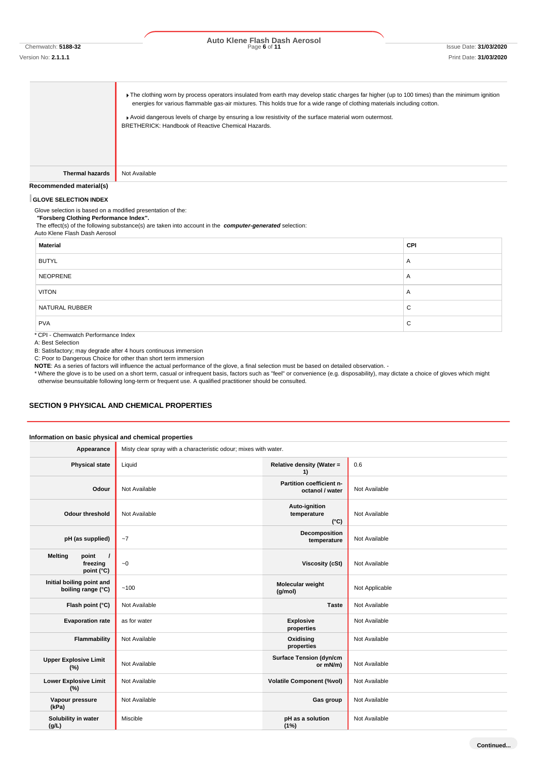#### Version No: **2.1.1.1** Print Date: **31/03/2020**

# Chemwatch: **5188-32** Page **6** of **11** Issue Date: **31/03/2020 Auto Klene Flash Dash Aerosol**

Fine clothing worn by process operators insulated from earth may develop static charges far higher (up to 100 times) than the minimum ignition energies for various flammable gas-air mixtures. This holds true for a wide range of clothing materials including cotton.

Avoid dangerous levels of charge by ensuring a low resistivity of the surface material worn outermost. BRETHERICK: Handbook of Reactive Chemical Hazards.

**Thermal hazards** Not Available

#### **Recommended material(s)**

#### **GLOVE SELECTION INDEX**

Glove selection is based on a modified presentation of the:

*"***Forsberg Clothing Performance Index".**

The effect(s) of the following substance(s) are taken into account in the *computer-generated* selection: Auto Klene Flash Dash Aerosol

| <b>Material</b>    | CPI |  |
|--------------------|-----|--|
| <b>BUTYL</b>       | A   |  |
| NEOPRENE           | A   |  |
| <b>VITON</b>       | A   |  |
| NATURAL RUBBER     | С   |  |
| <b>PVA</b>         | С   |  |
| $\cdots$<br>.<br>. |     |  |

\* CPI - Chemwatch Performance Index

A: Best Selection

B: Satisfactory; may degrade after 4 hours continuous immersion

C: Poor to Dangerous Choice for other than short term immersion

**NOTE**: As a series of factors will influence the actual performance of the glove, a final selection must be based on detailed observation. -

\* Where the glove is to be used on a short term, casual or infrequent basis, factors such as "feel" or convenience (e.g. disposability), may dictate a choice of gloves which might otherwise beunsuitable following long-term or frequent use. A qualified practitioner should be consulted.

#### **SECTION 9 PHYSICAL AND CHEMICAL PROPERTIES**

#### **Information on basic physical and chemical properties**

| Appearance                                                    | Misty clear spray with a characteristic odour; mixes with water. |                                               |                |
|---------------------------------------------------------------|------------------------------------------------------------------|-----------------------------------------------|----------------|
| <b>Physical state</b>                                         | Liquid                                                           | Relative density (Water =<br>1)               | 0.6            |
| Odour                                                         | Not Available                                                    | Partition coefficient n-<br>octanol / water   | Not Available  |
| <b>Odour threshold</b>                                        | Not Available                                                    | Auto-ignition<br>temperature<br>$(^{\circ}C)$ | Not Available  |
| pH (as supplied)                                              | $-7$                                                             | Decomposition<br>temperature                  | Not Available  |
| <b>Melting</b><br>point<br>$\prime$<br>freezing<br>point (°C) | ~1                                                               | <b>Viscosity (cSt)</b>                        | Not Available  |
| Initial boiling point and<br>boiling range (°C)               | ~100                                                             | Molecular weight<br>(g/mol)                   | Not Applicable |
| Flash point (°C)                                              | Not Available                                                    | <b>Taste</b>                                  | Not Available  |
| <b>Evaporation rate</b>                                       | as for water                                                     | <b>Explosive</b><br>properties                | Not Available  |
| Flammability                                                  | Not Available                                                    | Oxidising<br>properties                       | Not Available  |
| <b>Upper Explosive Limit</b><br>(%)                           | Not Available                                                    | <b>Surface Tension (dyn/cm</b><br>or mN/m)    | Not Available  |
| <b>Lower Explosive Limit</b><br>(%)                           | Not Available                                                    | <b>Volatile Component (%vol)</b>              | Not Available  |
| Vapour pressure<br>(kPa)                                      | Not Available                                                    | Gas group                                     | Not Available  |
| Solubility in water<br>(g/L)                                  | Miscible                                                         | pH as a solution<br>(1%)                      | Not Available  |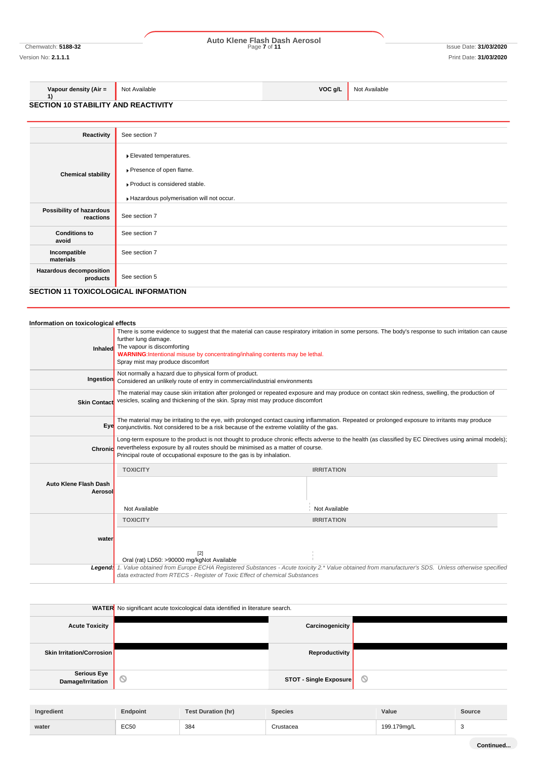# Chemwatch: **5188-32** Page **7** of **11** Issue Date: **31/03/2020 Auto Klene Flash Dash Aerosol**

Version No: **2.1.1.1** Print Date: **31/03/2020**

#### **Vapour density (Air = 1)** Not Available **VOC g/L** Not Available

**SECTION 10 STABILITY AND REACTIVITY**

| Reactivity                                                                  | See section 7                                                                                                                    |
|-----------------------------------------------------------------------------|----------------------------------------------------------------------------------------------------------------------------------|
| <b>Chemical stability</b>                                                   | Elevated temperatures.<br>▶ Presence of open flame.<br>Product is considered stable.<br>Hazardous polymerisation will not occur. |
| Possibility of hazardous<br>reactions                                       | See section 7                                                                                                                    |
| <b>Conditions to</b><br>avoid                                               | See section 7                                                                                                                    |
| Incompatible<br>materials                                                   | See section 7                                                                                                                    |
| Hazardous decomposition<br>products<br>SECTION 11 TOXICOLOGICAL INFORMATION | See section 5                                                                                                                    |

## **SECTION 11 TOXICOLOGICAL INFORMATION**

| Information on toxicological effects    |                                                                                                                                                         |                                                                                                                                                         |
|-----------------------------------------|---------------------------------------------------------------------------------------------------------------------------------------------------------|---------------------------------------------------------------------------------------------------------------------------------------------------------|
| Inhaled                                 | further lung damage.<br>The vapour is discomforting<br>WARNING:Intentional misuse by concentrating/inhaling contents may be lethal.                     | There is some evidence to suggest that the material can cause respiratory irritation in some persons. The body's response to such irritation can cause  |
|                                         | Spray mist may produce discomfort                                                                                                                       |                                                                                                                                                         |
| Ingestion                               | Not normally a hazard due to physical form of product.<br>Considered an unlikely route of entry in commercial/industrial environments                   |                                                                                                                                                         |
| <b>Skin Contact</b>                     | vesicles, scaling and thickening of the skin. Spray mist may produce discomfort                                                                         | The material may cause skin irritation after prolonged or repeated exposure and may produce on contact skin redness, swelling, the production of        |
|                                         | Eye conjunctivitis. Not considered to be a risk because of the extreme volatility of the gas.                                                           | The material may be irritating to the eye, with prolonged contact causing inflammation. Repeated or prolonged exposure to irritants may produce         |
| Chronic                                 | nevertheless exposure by all routes should be minimised as a matter of course.<br>Principal route of occupational exposure to the gas is by inhalation. | Long-term exposure to the product is not thought to produce chronic effects adverse to the health (as classified by EC Directives using animal models); |
|                                         | <b>TOXICITY</b>                                                                                                                                         | <b>IRRITATION</b>                                                                                                                                       |
| <b>Auto Klene Flash Dash</b><br>Aerosol |                                                                                                                                                         |                                                                                                                                                         |
|                                         | Not Available                                                                                                                                           | Not Available                                                                                                                                           |
|                                         | <b>TOXICITY</b>                                                                                                                                         | <b>IRRITATION</b>                                                                                                                                       |
| water                                   |                                                                                                                                                         |                                                                                                                                                         |
|                                         | $[2]$<br>Oral (rat) LD50: >90000 mg/kgNot Available                                                                                                     |                                                                                                                                                         |
| Legend:                                 | data extracted from RTECS - Register of Toxic Effect of chemical Substances                                                                             | 1. Value obtained from Europe ECHA Registered Substances - Acute toxicity 2.* Value obtained from manufacturer's SDS. Unless otherwise specified        |

|                                  | <b>WATER</b> No significant acute toxicological data identified in literature search. |                               |   |
|----------------------------------|---------------------------------------------------------------------------------------|-------------------------------|---|
| <b>Acute Toxicity</b>            |                                                                                       | Carcinogenicity               |   |
| <b>Skin Irritation/Corrosion</b> |                                                                                       | Reproductivity                |   |
| Serious Eye<br>Damage/Irritation | $\circ$                                                                               | <b>STOT - Single Exposure</b> | O |
|                                  |                                                                                       |                               |   |

| Ingredient | <b>Endpoint</b> | <b>Test Duration (hr)</b> | Species   | Value       | Source |
|------------|-----------------|---------------------------|-----------|-------------|--------|
| water      | <b>EC50</b>     | 384                       | ∑rustacea | 199.179mg/L |        |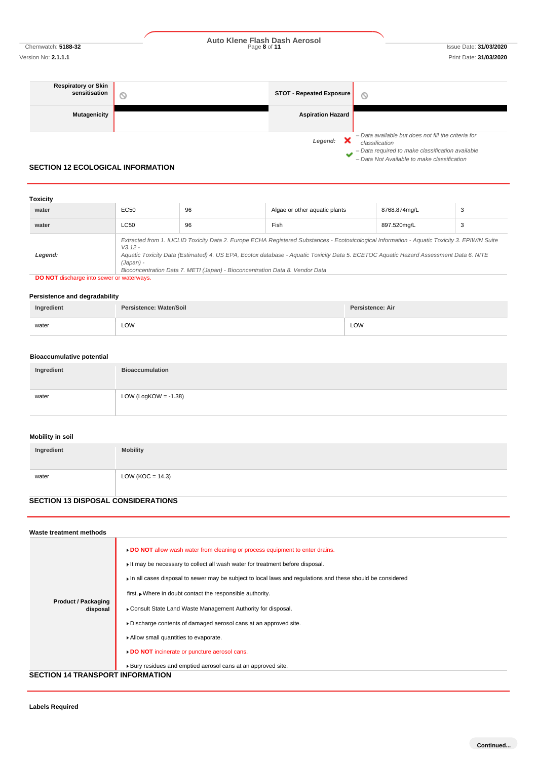Chemwatch: **5188-32** Page **8** of **11** Issue Date: **31/03/2020 Auto Klene Flash Dash Aerosol**

*– Data required to make classification available – Data Not Available to make classification*

| <b>Respiratory or Skin</b><br>sensitisation | <b>STOT - Repeated Exposure</b> | Q                                                                     |
|---------------------------------------------|---------------------------------|-----------------------------------------------------------------------|
| <b>Mutagenicity</b>                         | <b>Aspiration Hazard</b>        |                                                                       |
|                                             | Legend:                         | - Data available but does not fill the criteria for<br>classification |

## **SECTION 12 ECOLOGICAL INFORMATION**

| Toxicity |                        |                                                                              |                                                                                                                                                                                                                                                                                        |              |   |
|----------|------------------------|------------------------------------------------------------------------------|----------------------------------------------------------------------------------------------------------------------------------------------------------------------------------------------------------------------------------------------------------------------------------------|--------------|---|
| water    | EC50                   | 96                                                                           | Algae or other aguatic plants                                                                                                                                                                                                                                                          | 8768.874mg/L | 3 |
| water    | LC50                   | 96                                                                           | Fish                                                                                                                                                                                                                                                                                   | 897.520mg/L  | 3 |
| Legend:  | $V3.12 -$<br>(Japan) - | Bioconcentration Data 7. METI (Japan) - Bioconcentration Data 8. Vendor Data | Extracted from 1. IUCLID Toxicity Data 2. Europe ECHA Registered Substances - Ecotoxicological Information - Aquatic Toxicity 3. EPIWIN Suite<br>Aquatic Toxicity Data (Estimated) 4. US EPA, Ecotox database - Aquatic Toxicity Data 5. ECETOC Aquatic Hazard Assessment Data 6. NITE |              |   |

**DO NOT** discharge into sewer or waterways.

#### **Persistence and degradability**

| Ingredient | Persistence: Water/Soil | Persistence: Air |
|------------|-------------------------|------------------|
| water      | LOW                     | LOW              |

#### **Bioaccumulative potential**

| Ingredient | <b>Bioaccumulation</b>  |
|------------|-------------------------|
| water      | LOW (LogKOW = $-1.38$ ) |

## **Mobility in soil**

| Ingredient | <b>Mobility</b>      |
|------------|----------------------|
| water      | LOW ( $KOC = 14.3$ ) |

## **SECTION 13 DISPOSAL CONSIDERATIONS**

| Waste treatment methods                 |                                                                                                                                                                                                                                                                           |
|-----------------------------------------|---------------------------------------------------------------------------------------------------------------------------------------------------------------------------------------------------------------------------------------------------------------------------|
|                                         | DO NOT allow wash water from cleaning or process equipment to enter drains.<br>It may be necessary to collect all wash water for treatment before disposal.<br>In all cases disposal to sewer may be subject to local laws and regulations and these should be considered |
|                                         | first. • Where in doubt contact the responsible authority.                                                                                                                                                                                                                |
| <b>Product / Packaging</b><br>disposal  | • Consult State Land Waste Management Authority for disposal.                                                                                                                                                                                                             |
|                                         | Discharge contents of damaged aerosol cans at an approved site.                                                                                                                                                                                                           |
|                                         | Allow small quantities to evaporate.                                                                                                                                                                                                                                      |
|                                         | DO NOT incinerate or puncture aerosol cans.                                                                                                                                                                                                                               |
|                                         | ▶ Bury residues and emptied aerosol cans at an approved site.                                                                                                                                                                                                             |
| <b>SECTION 14 TRANSPORT INFORMATION</b> |                                                                                                                                                                                                                                                                           |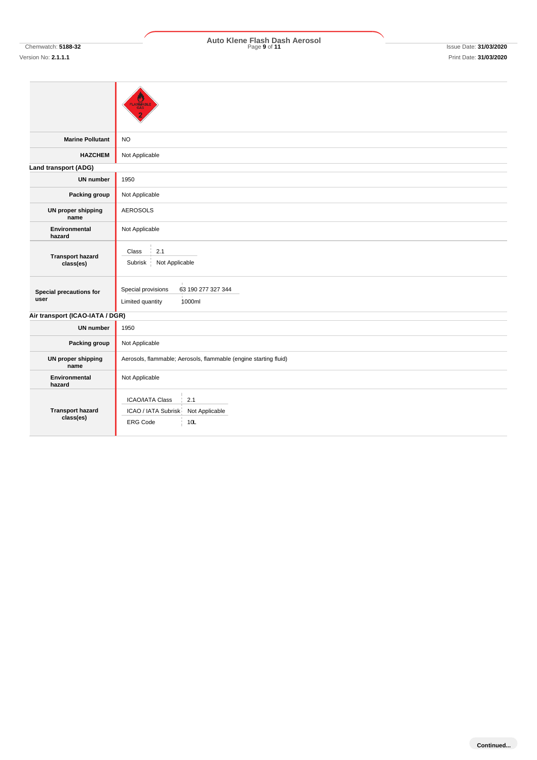# **Marine Pollutant** NO **HAZCHEM** Not Applicable **Land transport (ADG) UN number** 1950 **Packing group** Not Applicable **UN proper shipping name** AEROSOLS **Environmental hazard** Not Applicable **Transport hazard class(es) Special precautions for user** Special provisions 63 190 277 327 344 Limited quantity 1000ml **Air transport (ICAO-IATA / DGR) UN number** 1950 **Packing group** Not Applicable **UN proper shipping name** Aerosols, flammable; Aerosols, flammable (engine starting fluid) **Environmental hazard** Not Applicable **Transport hazard class(es)**  $Class \qquad 2.1$ Subrisk Not Applicable ICAO/IATA Class 2.1 ICAO / IATA Subrisk Not Applicable ERG Code 10L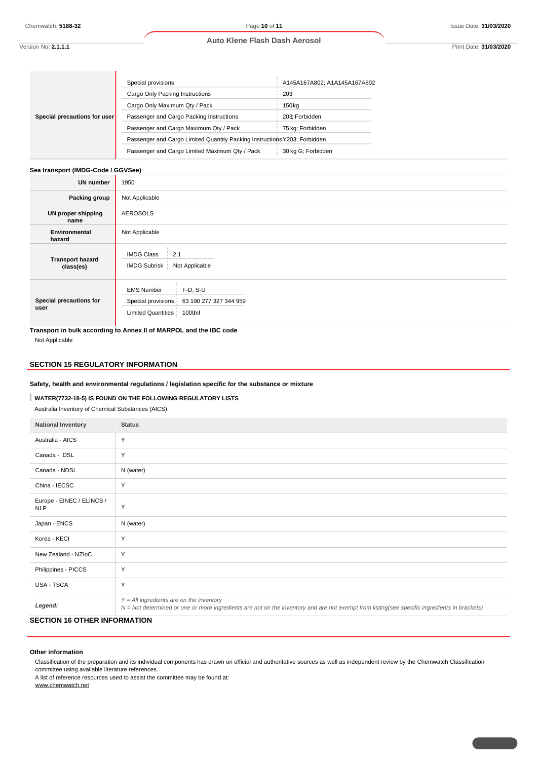#### **Auto Klene Flash Dash Aerosol**

**Special precautions for user** Special provisions **A145A167A802**; A1A145A167A802 Cargo Only Packing Instructions 203 Cargo Only Maximum Qty / Pack 150kg Passenger and Cargo Packing Instructions 203; Forbidden Passenger and Cargo Maximum Qty / Pack | 75 kg; Forbidden Passenger and Cargo Limited Quantity Packing InstructionsY203; Forbidden Passenger and Cargo Limited Maximum Qty / Pack 30 kg G; Forbidden

# **Sea transport (IMDG-Code / GGVSee)**

| <b>UN number</b>                     | 1950                                                                                                        |
|--------------------------------------|-------------------------------------------------------------------------------------------------------------|
| Packing group                        | Not Applicable                                                                                              |
| UN proper shipping<br>name           | <b>AEROSOLS</b>                                                                                             |
| Environmental<br>hazard              | Not Applicable                                                                                              |
| <b>Transport hazard</b><br>class(es) | <b>IMDG Class</b><br>2.1<br>IMDG Subrisk  <br>Not Applicable                                                |
| Special precautions for<br>user      | $F-D, S-U$<br><b>EMS Number</b><br>Special provisions 63 190 277 327 344 959<br>Limited Quantities   1000ml |

**Transport in bulk according to Annex II of MARPOL and the IBC code** Not Applicable

#### **SECTION 15 REGULATORY INFORMATION**

#### **Safety, health and environmental regulations / legislation specific for the substance or mixture**

### **WATER(7732-18-5) IS FOUND ON THE FOLLOWING REGULATORY LISTS**

Australia Inventory of Chemical Substances (AICS)

| <b>National Inventory</b>               | <b>Status</b>                                                                                                                                                                              |
|-----------------------------------------|--------------------------------------------------------------------------------------------------------------------------------------------------------------------------------------------|
| Australia - AICS                        | Y                                                                                                                                                                                          |
| Canada - DSL                            | Y                                                                                                                                                                                          |
| Canada - NDSL                           | N (water)                                                                                                                                                                                  |
| China - IECSC                           | Y                                                                                                                                                                                          |
| Europe - EINEC / ELINCS /<br><b>NLP</b> | Y                                                                                                                                                                                          |
| Japan - ENCS                            | N (water)                                                                                                                                                                                  |
| Korea - KECI                            | Y                                                                                                                                                                                          |
| New Zealand - NZIoC                     | Y                                                                                                                                                                                          |
| Philippines - PICCS                     | Y                                                                                                                                                                                          |
| USA - TSCA                              | Y                                                                                                                                                                                          |
| Legend:                                 | $Y = All$ ingredients are on the inventory<br>N = Not determined or one or more ingredients are not on the inventory and are not exempt from listing(see specific ingredients in brackets) |

### **SECTION 16 OTHER INFORMATION**

#### **Other information**

Classification of the preparation and its individual components has drawn on official and authoritative sources as well as independent review by the Chemwatch Classification committee using available literature references.

A list of reference resources used to assist the committee may be found at:

www.chemwatch.net